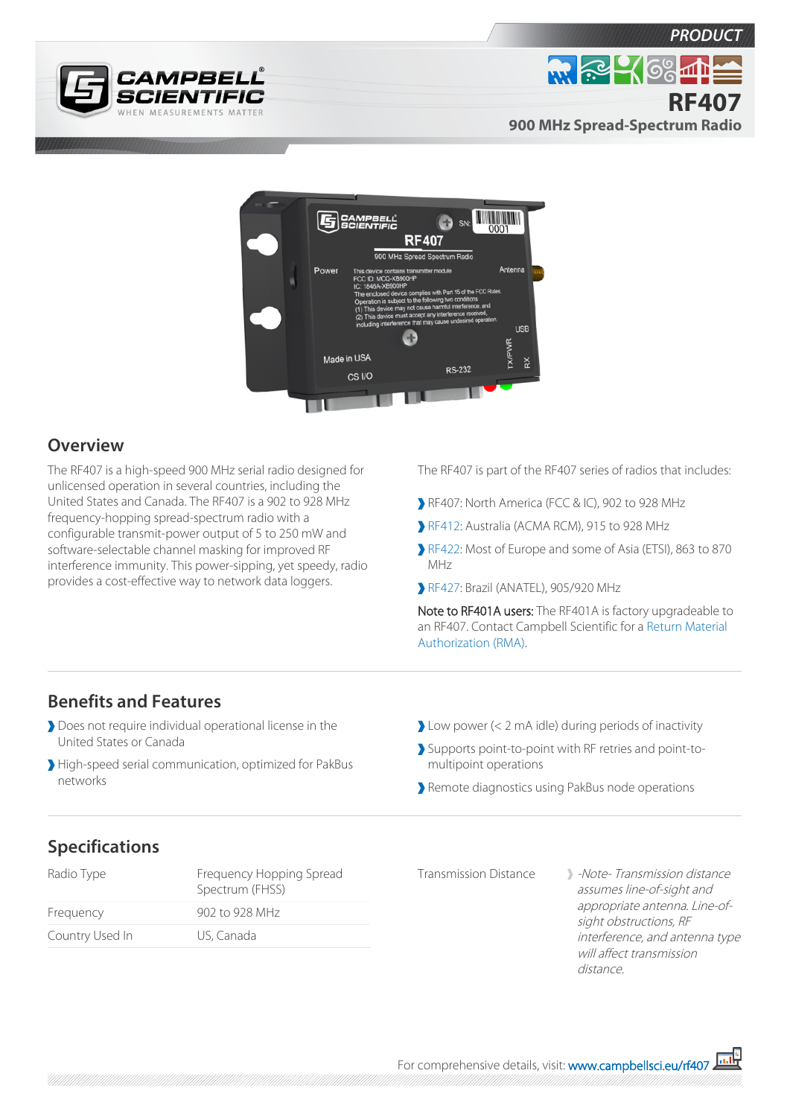

**RF407**

**900 MHz Spread-Spectrum Radio**



## **Overview**

The RF407 is a high-speed 900 MHz serial radio designed for unlicensed operation in several countries, including the United States and Canada. The RF407 is a 902 to 928 MHz frequency-hopping spread-spectrum radio with a configurable transmit-power output of 5 to 250 mW and software-selectable channel masking for improved RF interference immunity. This power-sipping, yet speedy, radio provides a cost-effective way to network data loggers.

The RF407 is part of the RF407 series of radios that includes:

- RF407: North America (FCC & IC), 902 to 928 MHz
- [RF412:](http://www.campbellsci.eu/rf412) Australia (ACMA RCM), 915 to 928 MHz
- [RF422:](http://www.campbellsci.eu/rf422) Most of Europe and some of Asia (ETSI), 863 to 870 MHz
- [RF427:](http://www.campbellsci.eu/rf427) Brazil (ANATEL), 905/920 MHz

Note to RF401A users: The RF401A is factory upgradeable to an RF407. Contact Campbell Scientific for a [Return Material](http://www.campbellsci.eu/../repair) [Authorization \(RMA\).](http://www.campbellsci.eu/../repair)

## **Benefits and Features**

- **Does not require individual operational license in the** United States or Canada
- High-speed serial communication, optimized for PakBus networks
- Low power  $(< 2 \text{ mA}$  idle) during periods of inactivity
- Supports point-to-point with RF retries and point-tomultipoint operations
- Remote diagnostics using PakBus node operations

## **Specifications**

| Radio Type      | Frequency Hopping Spread<br>Spectrum (FHSS) |
|-----------------|---------------------------------------------|
| Frequency       | 902 to 928 MHz                              |
| Country Used In | US, Canada                                  |

Transmission Distance > Note- Transmission distance assumes line-of-sight and appropriate antenna. Line-ofsight obstructions, RF interference, and antenna type will affect transmission distance.